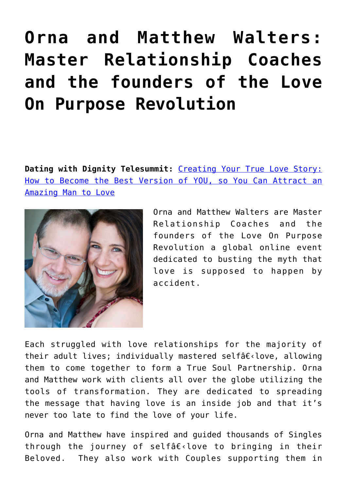## **[Orna and Matthew Walters:](https://cupidspulse.com/orna-matthew-walters-dating-with-dignity/) [Master Relationship Coaches](https://cupidspulse.com/orna-matthew-walters-dating-with-dignity/) [and the founders of the Love](https://cupidspulse.com/orna-matthew-walters-dating-with-dignity/) [On Purpose Revolution](https://cupidspulse.com/orna-matthew-walters-dating-with-dignity/)**

**Dating with Dignity Telesummit:** [Creating Your True Love Story:](http://datingwithdignitysummit.com) [How to Become the Best Version of YOU, so You Can Attract an](http://datingwithdignitysummit.com) [Amazing Man to Love](http://datingwithdignitysummit.com)



Orna and Matthew Walters are Master Relationship Coaches and the founders of the Love On Purpose Revolution a global online event dedicated to busting the myth that love is supposed to happen by accident.

Each struggled with love relationships for the majority of their adult lives; individually mastered selfâ $\epsilon$ <love, allowing them to come together to form a True Soul Partnership. Orna and Matthew work with clients all over the globe utilizing the tools of transformation. They are dedicated to spreading the message that having love is an inside job and that it's never too late to find the love of your life.

Orna and Matthew have inspired and guided thousands of Singles through the journey of selfâ $\epsilon$ <love to bringing in their Beloved. They also work with Couples supporting them in